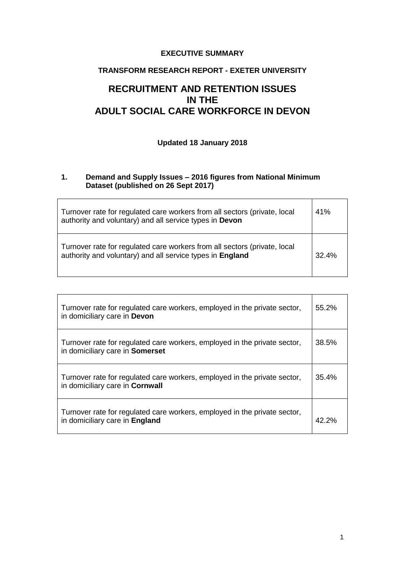#### **EXECUTIVE SUMMARY**

## **TRANSFORM RESEARCH REPORT - EXETER UNIVERSITY**

# **RECRUITMENT AND RETENTION ISSUES IN THE ADULT SOCIAL CARE WORKFORCE IN DEVON**

# **Updated 18 January 2018**

#### **1. Demand and Supply Issues – 2016 figures from National Minimum Dataset (published on 26 Sept 2017)**

| Turnover rate for regulated care workers from all sectors (private, local<br>authority and voluntary) and all service types in Devon   | 41%   |
|----------------------------------------------------------------------------------------------------------------------------------------|-------|
| Turnover rate for regulated care workers from all sectors (private, local<br>authority and voluntary) and all service types in England | 32.4% |

| Turnover rate for regulated care workers, employed in the private sector,<br>in domiciliary care in Devon    | 55.2% |
|--------------------------------------------------------------------------------------------------------------|-------|
| Turnover rate for regulated care workers, employed in the private sector,<br>in domiciliary care in Somerset | 38.5% |
| Turnover rate for regulated care workers, employed in the private sector,<br>in domiciliary care in Cornwall | 35.4% |
| Turnover rate for regulated care workers, employed in the private sector,<br>in domiciliary care in England  | 42.2% |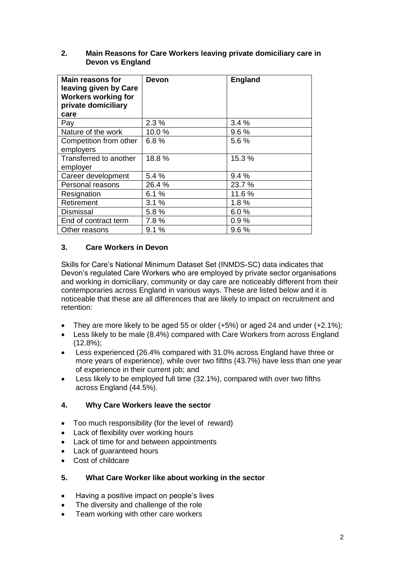| <b>Main reasons for</b><br>leaving given by Care<br><b>Workers working for</b><br>private domiciliary<br>care | <b>Devon</b> | <b>England</b> |
|---------------------------------------------------------------------------------------------------------------|--------------|----------------|
| Pay                                                                                                           | 2.3%         | 3.4%           |
| Nature of the work                                                                                            | 10.0%        | 9.6%           |
| Competition from other<br>employers                                                                           | 6.8%         | 5.6 %          |
| Transferred to another<br>employer                                                                            | 18.8%        | 15.3%          |
| Career development                                                                                            | 5.4%         | 9.4%           |
| Personal reasons                                                                                              | 26.4%        | 23.7 %         |
| Resignation                                                                                                   | 6.1%         | 11.6%          |
| Retirement                                                                                                    | 3.1%         | 1.8%           |
| <b>Dismissal</b>                                                                                              | 5.8%         | 6.0%           |
| End of contract term                                                                                          | 7.8%         | 0.9%           |
| Other reasons                                                                                                 | 9.1%         | 9.6%           |

#### **2. Main Reasons for Care Workers leaving private domiciliary care in Devon vs England**

# **3. Care Workers in Devon**

Skills for Care's National Minimum Dataset Set (INMDS-SC) data indicates that Devon's regulated Care Workers who are employed by private sector organisations and working in domiciliary, community or day care are noticeably different from their contemporaries across England in various ways. These are listed below and it is noticeable that these are all differences that are likely to impact on recruitment and retention:

- They are more likely to be aged 55 or older (+5%) or aged 24 and under (+2.1%);
- Less likely to be male (8.4%) compared with Care Workers from across England (12.8%);
- Less experienced (26.4% compared with 31.0% across England have three or more years of experience), while over two fifths (43.7%) have less than one year of experience in their current job; and
- Less likely to be employed full time (32.1%), compared with over two fifths across England (44.5%).

# **4. Why Care Workers leave the sector**

- Too much responsibility (for the level of reward)
- Lack of flexibility over working hours
- Lack of time for and between appointments
- Lack of guaranteed hours
- Cost of childcare

#### **5. What Care Worker like about working in the sector**

- Having a positive impact on people's lives
- The diversity and challenge of the role
- Team working with other care workers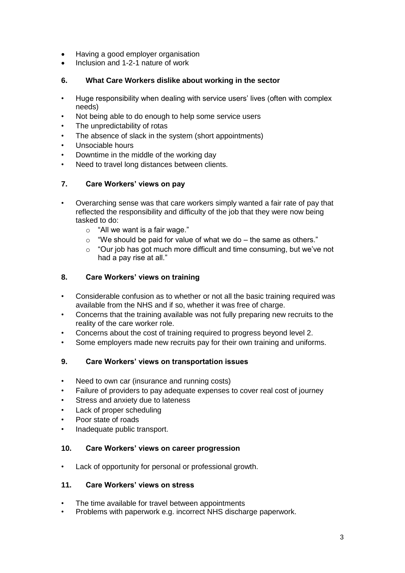- Having a good employer organisation
- Inclusion and 1-2-1 nature of work

## **6. What Care Workers dislike about working in the sector**

- Huge responsibility when dealing with service users' lives (often with complex needs)
- Not being able to do enough to help some service users
- The unpredictability of rotas
- The absence of slack in the system (short appointments)
- Unsociable hours
- Downtime in the middle of the working day
- Need to travel long distances between clients.

# **7. Care Workers' views on pay**

- Overarching sense was that care workers simply wanted a fair rate of pay that reflected the responsibility and difficulty of the job that they were now being tasked to do:
	- o "All we want is a fair wage."
	- $\circ$  "We should be paid for value of what we do the same as others."
	- o "Our job has got much more difficult and time consuming, but we've not had a pay rise at all."

# **8. Care Workers' views on training**

- Considerable confusion as to whether or not all the basic training required was available from the NHS and if so, whether it was free of charge.
- Concerns that the training available was not fully preparing new recruits to the reality of the care worker role.
- Concerns about the cost of training required to progress beyond level 2.
- Some employers made new recruits pay for their own training and uniforms.

#### **9. Care Workers' views on transportation issues**

- Need to own car (insurance and running costs)
- Failure of providers to pay adequate expenses to cover real cost of journey
- Stress and anxiety due to lateness
- Lack of proper scheduling
- Poor state of roads
- Inadequate public transport.

#### **10. Care Workers' views on career progression**

• Lack of opportunity for personal or professional growth.

#### **11. Care Workers' views on stress**

- The time available for travel between appointments
- Problems with paperwork e.g. incorrect NHS discharge paperwork.